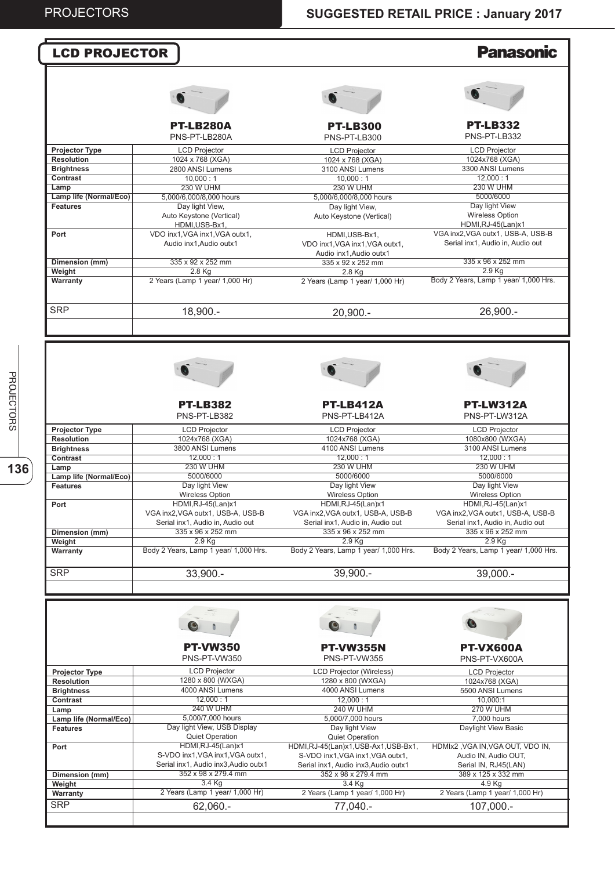| <b>LCD PROJECTOR</b>                                                                                                                                                                                                                           |                                                             |                                                                           | <b>Panasonic</b>                                                                                              |
|------------------------------------------------------------------------------------------------------------------------------------------------------------------------------------------------------------------------------------------------|-------------------------------------------------------------|---------------------------------------------------------------------------|---------------------------------------------------------------------------------------------------------------|
|                                                                                                                                                                                                                                                |                                                             |                                                                           |                                                                                                               |
|                                                                                                                                                                                                                                                |                                                             |                                                                           |                                                                                                               |
|                                                                                                                                                                                                                                                | <b>PT-LB280A</b><br>PNS-PT-LB280A                           | <b>PT-LB300</b><br>PNS-PT-LB300                                           | <b>PT-LB332</b><br>PNS-PT-LB332                                                                               |
| <b>Projector Type</b>                                                                                                                                                                                                                          | <b>LCD Projector</b>                                        | <b>LCD Projector</b>                                                      | <b>LCD Projector</b>                                                                                          |
| <b>Resolution</b>                                                                                                                                                                                                                              | 1024 x 768 (XGA)                                            | 1024 x 768 (XGA)                                                          | 1024x768 (XGA)                                                                                                |
| <b>Brightness</b>                                                                                                                                                                                                                              | 2800 ANSI Lumens                                            | 3100 ANSI Lumens                                                          | 3300 ANSI Lumens                                                                                              |
| <b>Contrast</b>                                                                                                                                                                                                                                | 10,000:1                                                    | 10,000:1                                                                  | 12,000:1                                                                                                      |
| Lamp<br>Lamp life (Normal/Eco)                                                                                                                                                                                                                 | <b>230 W UHM</b><br>5,000/6,000/8,000 hours                 | 230 W UHM                                                                 | <b>230 W UHM</b><br>5000/6000                                                                                 |
| <b>Features</b>                                                                                                                                                                                                                                | Day light View,                                             | 5,000/6,000/8,000 hours<br>Day light View,                                | Day light View                                                                                                |
|                                                                                                                                                                                                                                                | Auto Keystone (Vertical)<br>HDMI, USB-Bx1,                  | Auto Keystone (Vertical)                                                  | <b>Wireless Option</b><br>HDMI, RJ-45(Lan) x1                                                                 |
| Port                                                                                                                                                                                                                                           | VDO inx1, VGA inx1, VGA outx1,<br>Audio inx1.Audio outx1    | HDMI, USB-Bx1,<br>VDO inx1, VGA inx1, VGA outx1,                          | VGA inx2, VGA outx1, USB-A, USB-B<br>Serial inx1, Audio in, Audio out                                         |
| Dimension (mm)                                                                                                                                                                                                                                 | 335 x 92 x 252 mm                                           | Audio inx1, Audio outx1<br>335 x 92 x 252 mm                              | 335 x 96 x 252 mm                                                                                             |
| Weight                                                                                                                                                                                                                                         | 2.8 Kg                                                      | 2.8 Kg                                                                    | 2.9 Kg                                                                                                        |
| Warranty                                                                                                                                                                                                                                       | 2 Years (Lamp 1 year/ 1,000 Hr)                             | 2 Years (Lamp 1 year/ 1,000 Hr)                                           | Body 2 Years, Lamp 1 year/ 1,000 Hrs.                                                                         |
| <b>SRP</b>                                                                                                                                                                                                                                     | 18,900.-                                                    | $20,900. -$                                                               | 26,900.-                                                                                                      |
|                                                                                                                                                                                                                                                |                                                             |                                                                           |                                                                                                               |
|                                                                                                                                                                                                                                                | <b>PT-LB382</b><br>PNS-PT-LB382                             | <b>PT-LB412A</b><br>PNS-PT-LB412A                                         | <b>PT-LW312A</b><br>PNS-PT-LW312A                                                                             |
| <b>Projector Type</b>                                                                                                                                                                                                                          | <b>LCD Projector</b>                                        | <b>LCD Projector</b>                                                      | <b>LCD Projector</b>                                                                                          |
| <b>Resolution</b>                                                                                                                                                                                                                              | 1024x768 (XGA)<br>3800 ANSI Lumens                          | 1024x768 (XGA)<br>4100 ANSI Lumens                                        | 1080x800 (WXGA)                                                                                               |
| <b>Brightness</b><br><b>Contrast</b>                                                                                                                                                                                                           | 12,000:1                                                    | 12.000:1                                                                  | 3100 ANSI Lumens<br>12,000:1                                                                                  |
| Lamp                                                                                                                                                                                                                                           | <b>230 W UHM</b>                                            | <b>230 W UHM</b>                                                          | <b>230 W UHM</b>                                                                                              |
| Lamp life (Normal/Eco)                                                                                                                                                                                                                         | 5000/6000                                                   | 5000/6000                                                                 | 5000/6000                                                                                                     |
| <b>Features</b>                                                                                                                                                                                                                                | Day light View                                              | Day light View                                                            | Day light View                                                                                                |
|                                                                                                                                                                                                                                                |                                                             |                                                                           |                                                                                                               |
|                                                                                                                                                                                                                                                | <b>Wireless Option</b>                                      | <b>Wireless Option</b>                                                    | <b>Wireless Option</b>                                                                                        |
|                                                                                                                                                                                                                                                | HDMI, RJ-45(Lan) x1                                         | HDMI,RJ-45(Lan)x1                                                         | HDMI,RJ-45(Lan)x1                                                                                             |
|                                                                                                                                                                                                                                                | VGA inx2, VGA outx1, USB-A, USB-B                           | VGA inx2, VGA outx1, USB-A, USB-B                                         |                                                                                                               |
|                                                                                                                                                                                                                                                | Serial inx1, Audio in, Audio out                            | Serial inx1, Audio in, Audio out                                          | Serial inx1, Audio in, Audio out                                                                              |
|                                                                                                                                                                                                                                                | 335 x 96 x 252 mm                                           | 335 x 96 x 252 mm<br>2.9 Kg                                               | 335 x 96 x 252 mm                                                                                             |
|                                                                                                                                                                                                                                                | $2.9$ Kg<br>Body 2 Years, Lamp 1 year/ 1,000 Hrs.           | Body 2 Years, Lamp 1 year/ 1,000 Hrs.                                     | $2.9$ Kg                                                                                                      |
|                                                                                                                                                                                                                                                | $33,900. -$                                                 | 39,900.-                                                                  | 39,000.-                                                                                                      |
|                                                                                                                                                                                                                                                |                                                             |                                                                           |                                                                                                               |
|                                                                                                                                                                                                                                                | <b>PT-VW350</b>                                             | <b>PT-VW355N</b>                                                          | <b>PT-VX600A</b>                                                                                              |
|                                                                                                                                                                                                                                                | PNS-PT-VW350                                                | PNS-PT-VW355                                                              | PNS-PT-VX600A                                                                                                 |
|                                                                                                                                                                                                                                                | <b>LCD Projector</b>                                        | <b>LCD Projector (Wireless)</b>                                           | <b>LCD Projector</b>                                                                                          |
|                                                                                                                                                                                                                                                | 1280 x 800 (WXGA)<br>4000 ANSI Lumens                       | 1280 x 800 (WXGA)                                                         | 1024x768 (XGA)                                                                                                |
|                                                                                                                                                                                                                                                | 12,000:1                                                    | 4000 ANSI Lumens<br>12,000:1                                              | 5500 ANSI Lumens<br>10,000:1                                                                                  |
|                                                                                                                                                                                                                                                | <b>240 W UHM</b>                                            | <b>240 W UHM</b>                                                          | <b>270 W UHM</b>                                                                                              |
|                                                                                                                                                                                                                                                | 5,000/7,000 hours                                           | 5,000/7,000 hours                                                         | 7,000 hours                                                                                                   |
|                                                                                                                                                                                                                                                | Day light View, USB Display<br><b>Quiet Operation</b>       | Day light View<br><b>Quiet Operation</b>                                  | Daylight View Basic                                                                                           |
|                                                                                                                                                                                                                                                | HDMI, RJ-45(Lan) x1<br>S-VDO inx1, VGA inx1, VGA outx1,     | HDMI, RJ-45(Lan)x1, USB-Ax1, USB-Bx1,<br>S-VDO inx1, VGA inx1, VGA outx1, | HDMIx2, VGA IN, VGA OUT, VDO IN,<br>Audio IN, Audio OUT,                                                      |
|                                                                                                                                                                                                                                                | Serial inx1, Audio inx3, Audio outx1<br>352 x 98 x 279.4 mm | Serial inx1, Audio inx3, Audio outx1<br>352 x 98 x 279.4 mm               | Serial IN, RJ45(LAN)                                                                                          |
|                                                                                                                                                                                                                                                | 3.4 Kg                                                      | 3.4 Kg                                                                    | 389 x 125 x 332 mm<br>4.9 Kg                                                                                  |
| Port<br>Dimension (mm)<br>Weight<br>Warranty<br><b>SRP</b><br><b>Projector Type</b><br><b>Resolution</b><br><b>Brightness</b><br>Contrast<br>Lamp<br>Lamp life (Normal/Eco)<br><b>Features</b><br>Port<br>Dimension (mm)<br>Weight<br>Warranty | 2 Years (Lamp 1 year/ 1,000 Hr)                             | 2 Years (Lamp 1 year/ 1,000 Hr)                                           | VGA inx2, VGA outx1, USB-A, USB-B<br>Body 2 Years, Lamp 1 year/ 1,000 Hrs.<br>2 Years (Lamp 1 year/ 1,000 Hr) |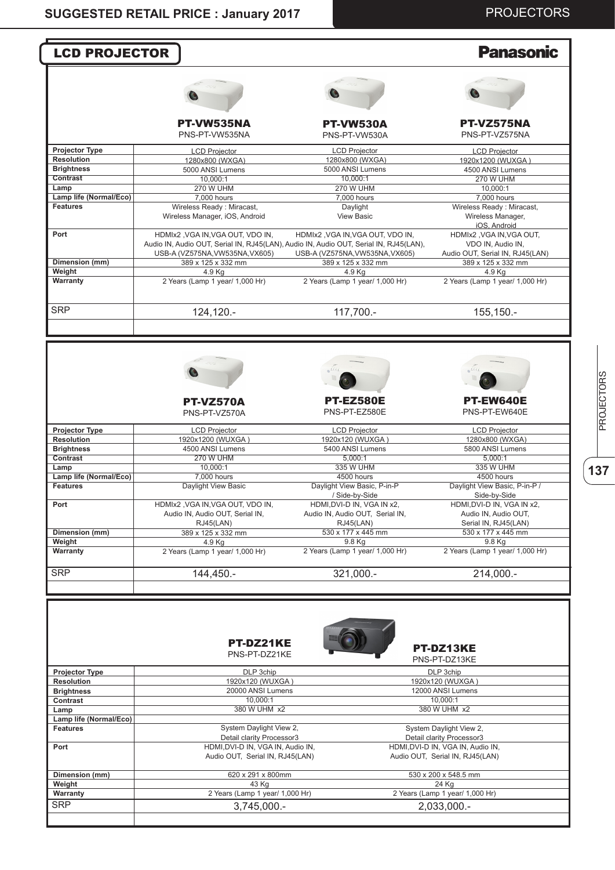# PROJECTORS

| <b>LCD PROJECTOR</b>                                                                                                              |                                                                                                                           |                                              | <b>Panasonic</b>                                               |
|-----------------------------------------------------------------------------------------------------------------------------------|---------------------------------------------------------------------------------------------------------------------------|----------------------------------------------|----------------------------------------------------------------|
|                                                                                                                                   |                                                                                                                           |                                              |                                                                |
|                                                                                                                                   |                                                                                                                           |                                              |                                                                |
|                                                                                                                                   | PT-VW535NA<br>PNS-PT-VW535NA                                                                                              | <b>PT-VW530A</b><br>PNS-PT-VW530A            | <b>PT-VZ575NA</b><br>PNS-PT-VZ575NA                            |
| Projector Type                                                                                                                    | <b>LCD Projector</b>                                                                                                      | <b>LCD Projector</b>                         | <b>LCD Projector</b>                                           |
| <b>Resolution</b>                                                                                                                 | 1280x800 (WXGA)                                                                                                           | 1280x800 (WXGA)                              | 1920x1200 (WUXGA)                                              |
| <b>Brightness</b>                                                                                                                 | 5000 ANSI Lumens                                                                                                          | 5000 ANSI Lumens                             | 4500 ANSI Lumens                                               |
| Contrast                                                                                                                          | 10.000:1                                                                                                                  | 10,000:1                                     | <b>270 W UHM</b>                                               |
| Lamp                                                                                                                              | <b>270 W UHM</b>                                                                                                          | <b>270 W UHM</b>                             | 10,000:1                                                       |
| Lamp life (Normal/Eco)                                                                                                            | 7,000 hours                                                                                                               | 7,000 hours                                  | 7,000 hours                                                    |
| <b>Features</b>                                                                                                                   | Wireless Ready: Miracast,<br>Wireless Manager, iOS, Android                                                               | Daylight<br><b>View Basic</b>                | Wireless Ready: Miracast,<br>Wireless Manager,<br>iOS, Android |
| Port                                                                                                                              | HDMIx2, VGA IN, VGA OUT, VDO IN,<br>Audio IN, Audio OUT, Serial IN, RJ45(LAN), Audio IN, Audio OUT, Serial IN, RJ45(LAN), | HDMIx2, VGA IN, VGA OUT, VDO IN,             | HDMIx2, VGA IN, VGA OUT,<br>VDO IN, Audio IN,                  |
|                                                                                                                                   | USB-A (VZ575NA, VW535NA, VX605)                                                                                           | USB-A (VZ575NA, VW535NA, VX605)              | Audio OUT, Serial IN, RJ45(LAN)                                |
| Dimension (mm)<br>Weight                                                                                                          | 389 x 125 x 332 mm<br>4.9 Ka                                                                                              | 389 x 125 x 332 mm<br>4.9 Kg                 | 389 x 125 x 332 mm                                             |
| Warranty                                                                                                                          | 2 Years (Lamp 1 year/ 1,000 Hr)                                                                                           | 2 Years (Lamp 1 year/ 1,000 Hr)              | 4.9 Kg<br>2 Years (Lamp 1 year/ 1,000 Hr)                      |
| <b>SRP</b>                                                                                                                        | 124,120.-                                                                                                                 | 117,700.-                                    | 155,150.-                                                      |
|                                                                                                                                   |                                                                                                                           |                                              |                                                                |
|                                                                                                                                   | <b>PT-VZ570A</b><br>PNS-PT-VZ570A                                                                                         | <b>PT-EZ580E</b><br>PNS-PT-EZ580E            | PT-EW640E<br>PNS-PT-EW640E                                     |
| <b>Projector Type</b>                                                                                                             |                                                                                                                           |                                              |                                                                |
| <b>Resolution</b>                                                                                                                 | <b>LCD Projector</b><br>1920x1200 (WUXGA)                                                                                 | <b>LCD Projector</b><br>1920x120 (WUXGA)     | <b>LCD Projector</b><br>1280x800 (WXGA)                        |
| <b>Brightness</b>                                                                                                                 | 4500 ANSI Lumens                                                                                                          | 5400 ANSI Lumens                             | 5800 ANSI Lumens                                               |
| Contrast                                                                                                                          | <b>270 W UHM</b>                                                                                                          | 5,000:1                                      | 5.000:1                                                        |
| Lamp                                                                                                                              | 10,000:1                                                                                                                  | 335 W UHM                                    | 335 W UHM                                                      |
| Lamp life (Normal/Eco)                                                                                                            | 7,000 hours                                                                                                               | 4500 hours                                   | 4500 hours                                                     |
| <b>Features</b>                                                                                                                   | Daylight View Basic                                                                                                       | Daylight View Basic, P-in-P                  | Daylight View Basic, P-in-P /                                  |
| Port                                                                                                                              | HDMIx2, VGA IN, VGA OUT, VDO IN,                                                                                          | / Side-by-Side<br>HDMI, DVI-D IN, VGA IN x2, | Side-by-Side<br>HDMI, DVI-D IN, VGA IN x2,                     |
|                                                                                                                                   | Audio IN, Audio OUT, Serial IN,                                                                                           | Audio IN, Audio OUT, Serial IN,              | Audio IN, Audio OUT,                                           |
|                                                                                                                                   | RJ45(LAN)                                                                                                                 | RJ45(LAN)                                    | Serial IN, RJ45(LAN)                                           |
| Dimension (mm)                                                                                                                    | 389 x 125 x 332 mm                                                                                                        | 530 x 177 x 445 mm                           | 530 x 177 x 445 mm                                             |
| Weight                                                                                                                            | 4.9 Kg                                                                                                                    | 9.8 Kg                                       | 9.8 Kg                                                         |
|                                                                                                                                   |                                                                                                                           |                                              | 2 Years (Lamp 1 year/ 1,000 Hr)                                |
|                                                                                                                                   | 144,450.-                                                                                                                 | 321,000 .-                                   | 214,000 .-                                                     |
| Warranty<br><b>SRP</b>                                                                                                            | 2 Years (Lamp 1 year/ 1,000 Hr)<br>PT-DZ21KE                                                                              | 2 Years (Lamp 1 year/ 1,000 Hr)              |                                                                |
|                                                                                                                                   | PNS-PT-DZ21KE                                                                                                             |                                              | PT-DZ13KE<br>PNS-PT-DZ13KE                                     |
|                                                                                                                                   |                                                                                                                           |                                              |                                                                |
|                                                                                                                                   | DLP 3chip                                                                                                                 |                                              | DLP 3chip                                                      |
|                                                                                                                                   | 1920x120 (WUXGA)                                                                                                          |                                              | 1920x120 (WUXGA)                                               |
|                                                                                                                                   | 20000 ANSI Lumens                                                                                                         |                                              | 12000 ANSI Lumens                                              |
|                                                                                                                                   | 10,000:1                                                                                                                  |                                              | 10,000:1                                                       |
|                                                                                                                                   | 380 W UHM x2                                                                                                              |                                              | 380 W UHM x2                                                   |
|                                                                                                                                   | System Daylight View 2,                                                                                                   |                                              | System Daylight View 2,                                        |
| Projector Type<br><b>Resolution</b><br><b>Brightness</b><br>Contrast<br>Lamp<br>Lamp life (Normal/Eco)<br><b>Features</b><br>Port | Detail clarity Processor3<br>HDMI, DVI-D IN, VGA IN, Audio IN,                                                            |                                              | Detail clarity Processor3<br>HDMI, DVI-D IN, VGA IN, Audio IN, |
|                                                                                                                                   | Audio OUT, Serial IN, RJ45(LAN)                                                                                           |                                              | Audio OUT, Serial IN, RJ45(LAN)                                |
|                                                                                                                                   | 620 x 291 x 800mm                                                                                                         |                                              | 530 x 200 x 548.5 mm                                           |
| Dimension (mm)<br>Weight                                                                                                          | 43 Kg                                                                                                                     |                                              | 24 Kg                                                          |
| Warranty<br><b>SRP</b>                                                                                                            | 2 Years (Lamp 1 year/ 1,000 Hr)<br>3,745,000.-                                                                            |                                              | 2 Years (Lamp 1 year/ 1,000 Hr)<br>2,033,000.-                 |

**137**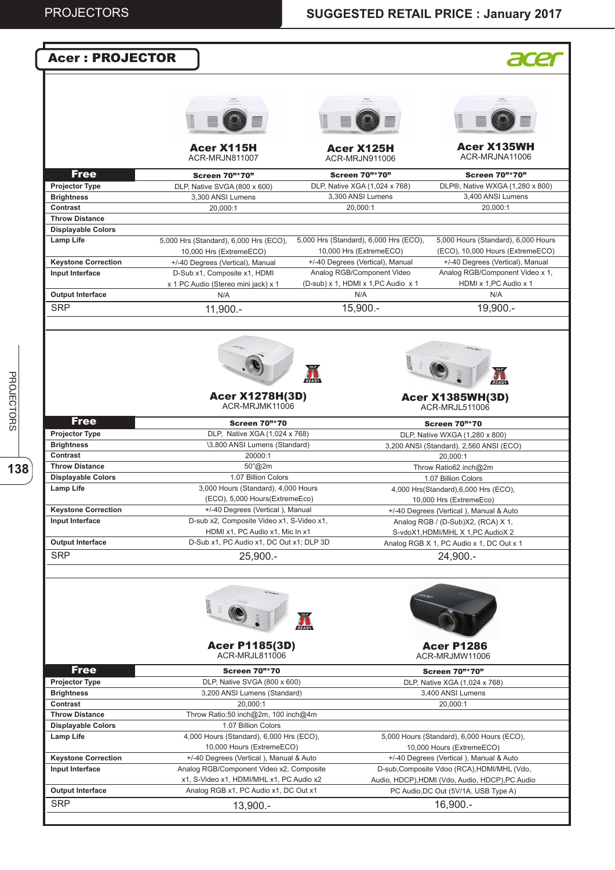| <b>Acer: PROJECTOR</b>        |                                           |                                        |                                                        |
|-------------------------------|-------------------------------------------|----------------------------------------|--------------------------------------------------------|
|                               |                                           |                                        |                                                        |
|                               |                                           |                                        |                                                        |
|                               |                                           |                                        |                                                        |
|                               |                                           |                                        |                                                        |
|                               |                                           |                                        |                                                        |
|                               | <b>Acer X115H</b>                         | Acer X125H                             | <b>Acer X135WH</b>                                     |
|                               | ACR-MRJN811007                            | ACR-MRJN911006                         | ACR-MRJNA11006                                         |
| <b>Free</b>                   | <b>Screen 70"*70"</b>                     | <b>Screen 70"*70"</b>                  | <b>Screen 70"*70"</b>                                  |
| <b>Projector Type</b>         | DLP, Native SVGA (800 x 600)              | DLP, Native XGA (1,024 x 768)          | DLP®, Native WXGA (1,280 x 800)                        |
| <b>Brightness</b>             | 3,300 ANSI Lumens                         | 3,300 ANSI Lumens                      | 3,400 ANSI Lumens                                      |
| Contrast                      | 20,000:1                                  | 20,000:1                               | 20,000:1                                               |
| <b>Throw Distance</b>         |                                           |                                        |                                                        |
| <b>Displayable Colors</b>     |                                           |                                        |                                                        |
| <b>Lamp Life</b>              | 5,000 Hrs (Standard), 6,000 Hrs (ECO),    | 5,000 Hrs (Standard), 6,000 Hrs (ECO), | 5,000 Hours (Standard), 6,000 Hours                    |
|                               | 10,000 Hrs (ExtremeECO)                   | 10,000 Hrs (ExtremeECO)                | (ECO), 10,000 Hours (ExtremeECO)                       |
| <b>Keystone Correction</b>    | +/-40 Degrees (Vertical), Manual          | +/-40 Degrees (Vertical), Manual       | +/-40 Degrees (Vertical), Manual                       |
| Input Interface               | D-Sub x1, Composite x1, HDMI              | Analog RGB/Component Video             | Analog RGB/Component Video x 1,                        |
|                               | x 1 PC Audio (Stereo mini jack) x 1       | (D-sub) x 1, HDMI x 1, PC Audio x 1    | HDMI x 1, PC Audio x 1                                 |
| <b>Output Interface</b>       | N/A                                       | N/A                                    | N/A                                                    |
| <b>SRP</b>                    | 11,900.-                                  | $15,900. -$                            | 19,900.-                                               |
|                               |                                           |                                        |                                                        |
|                               |                                           |                                        |                                                        |
|                               |                                           |                                        |                                                        |
|                               |                                           | <b>Base</b>                            |                                                        |
|                               |                                           |                                        |                                                        |
|                               |                                           | READY                                  |                                                        |
|                               | <b>Acer X1278H(3D)</b>                    |                                        | <b>Acer X1385WH(3D)</b>                                |
|                               | ACR-MRJMK11006                            |                                        | ACR-MRJL511006                                         |
| <b>Free</b>                   | <b>Screen 70"*70</b>                      |                                        |                                                        |
| <b>Projector Type</b>         | DLP, Native XGA (1,024 x 768)             |                                        | <b>Screen 70"*70</b><br>DLP, Native WXGA (1,280 x 800) |
| <b>Brightness</b>             | \3,800 ANSI Lumens (Standard)             |                                        | 3,200 ANSI (Standard), 2,560 ANSI (ECO)                |
| Contrast                      | 20000:1                                   |                                        | 20,000:1                                               |
| <b>Throw Distance</b>         | 50"@2m                                    |                                        | Throw Ratio62 inch@2m                                  |
| <b>Displayable Colors</b>     | 1.07 Billion Colors                       |                                        | 1.07 Billion Colors                                    |
| <b>Lamp Life</b>              | 3,000 Hours (Standard), 4,000 Hours       |                                        | 4,000 Hrs(Standard),6,000 Hrs (ECO),                   |
|                               | (ECO), 5,000 Hours(ExtremeEco)            |                                        | 10,000 Hrs (ExtremeEco)                                |
| <b>Keystone Correction</b>    | +/-40 Degrees (Vertical), Manual          |                                        | +/-40 Degrees (Vertical), Manual & Auto                |
| Input Interface               | D-sub x2, Composite Video x1, S-Video x1, |                                        | Analog RGB / (D-Sub)X2, (RCA) X 1,                     |
|                               | HDMI x1, PC Audio x1, Mic In x1           |                                        | S-vdoX1, HDMI/MHL X 1, PC AudioX 2                     |
| <b>Output Interface</b>       | D-Sub x1, PC Audio x1, DC Out x1; DLP 3D  |                                        | Analog RGB X 1, PC Audio x 1, DC Out x 1               |
| <b>SRP</b>                    | $25,900. -$                               |                                        | 24,900.-                                               |
|                               |                                           |                                        |                                                        |
|                               |                                           |                                        |                                                        |
|                               |                                           |                                        |                                                        |
|                               | <b>Bash</b>                               |                                        |                                                        |
|                               |                                           |                                        |                                                        |
|                               |                                           | READY                                  |                                                        |
|                               |                                           |                                        |                                                        |
|                               | <b>Acer P1185(3D)</b><br>ACR-MRJL811006   |                                        | <b>Acer P1286</b><br>ACR-MRJMW11006                    |
|                               |                                           |                                        |                                                        |
| Free                          | <b>Screen 70"*70</b>                      |                                        | <b>Screen 70"*70"</b>                                  |
| <b>Projector Type</b>         | DLP, Native SVGA (800 x 600)              |                                        | DLP, Native XGA (1,024 x 768)                          |
| <b>Brightness</b><br>Contrast | 3,200 ANSI Lumens (Standard)<br>20,000:1  |                                        | 3,400 ANSI Lumens<br>20,000:1                          |
| <b>Throw Distance</b>         | Throw Ratio:50 inch@2m, 100 inch@4m       |                                        |                                                        |
| <b>Displayable Colors</b>     | 1.07 Billion Colors                       |                                        |                                                        |
| Lamp Life                     | 4,000 Hours (Standard), 6,000 Hrs (ECO),  |                                        | 5,000 Hours (Standard), 6,000 Hours (ECO),             |
|                               | 10,000 Hours (ExtremeECO)                 |                                        | 10,000 Hours (ExtremeECO)                              |
| <b>Keystone Correction</b>    | +/-40 Degrees (Vertical), Manual & Auto   |                                        | +/-40 Degrees (Vertical), Manual & Auto                |
| Input Interface               | Analog RGB/Component Video x2, Composite  |                                        | D-sub, Composite Vdoo (RCA), HDMI/MHL (Vdo,            |
|                               | x1, S-Video x1, HDMI/MHL x1, PC Audio x2  |                                        | Audio, HDCP), HDMI (Vdo, Audio, HDCP), PC Audio        |
| <b>Output Interface</b>       | Analog RGB x1, PC Audio x1, DC Out x1     |                                        | PC Audio, DC Out (5V/1A, USB Type A)                   |
| <b>SRP</b>                    | $13,900. -$                               |                                        | $16,900. -$                                            |
|                               |                                           |                                        |                                                        |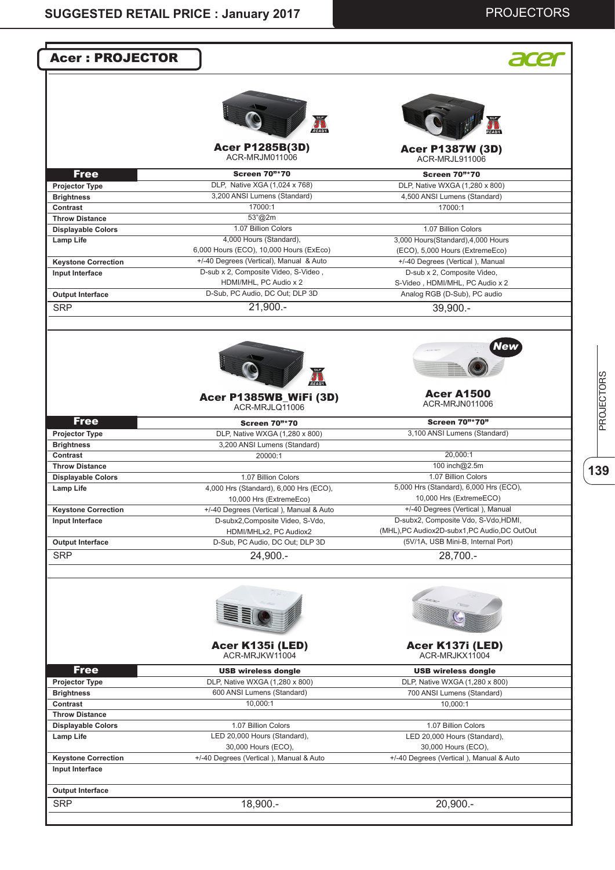# PROJECTORS

**139**PROJECTORS

| <b>Acer: PROJECTOR</b>                                                                                                                                                                                                                                                                                                                    |                                                                |                                                          |
|-------------------------------------------------------------------------------------------------------------------------------------------------------------------------------------------------------------------------------------------------------------------------------------------------------------------------------------------|----------------------------------------------------------------|----------------------------------------------------------|
|                                                                                                                                                                                                                                                                                                                                           |                                                                |                                                          |
|                                                                                                                                                                                                                                                                                                                                           | READY                                                          |                                                          |
|                                                                                                                                                                                                                                                                                                                                           | <b>Acer P1285B(3D)</b><br>ACR-MRJM011006                       | <b>Acer P1387W (3D)</b><br>ACR-MRJL911006                |
| <b>Free</b>                                                                                                                                                                                                                                                                                                                               | <b>Screen 70"*70</b>                                           | <b>Screen 70"*70</b>                                     |
| <b>Projector Type</b>                                                                                                                                                                                                                                                                                                                     | DLP, Native XGA (1,024 x 768)                                  | DLP, Native WXGA (1,280 x 800)                           |
| <b>Brightness</b>                                                                                                                                                                                                                                                                                                                         | 3,200 ANSI Lumens (Standard)                                   | 4,500 ANSI Lumens (Standard)                             |
| Contrast                                                                                                                                                                                                                                                                                                                                  | 17000:1                                                        | 17000:1                                                  |
| <b>Throw Distance</b>                                                                                                                                                                                                                                                                                                                     | 53"@2m<br>1.07 Billion Colors                                  |                                                          |
| <b>Displayable Colors</b><br><b>Lamp Life</b>                                                                                                                                                                                                                                                                                             | 4,000 Hours (Standard),                                        | 1.07 Billion Colors<br>3,000 Hours(Standard),4,000 Hours |
|                                                                                                                                                                                                                                                                                                                                           | 6,000 Hours (ECO), 10,000 Hours (ExEco)                        | (ECO), 5,000 Hours (ExtremeEco)                          |
| <b>Keystone Correction</b>                                                                                                                                                                                                                                                                                                                | +/-40 Degrees (Vertical), Manual & Auto                        | +/-40 Degrees (Vertical), Manual                         |
| Input Interface                                                                                                                                                                                                                                                                                                                           | D-sub x 2, Composite Video, S-Video,                           | D-sub x 2, Composite Video,                              |
|                                                                                                                                                                                                                                                                                                                                           | HDMI/MHL, PC Audio x 2                                         | S-Video, HDMI/MHL, PC Audio x 2                          |
| <b>Output Interface</b>                                                                                                                                                                                                                                                                                                                   | D-Sub, PC Audio, DC Out; DLP 3D                                | Analog RGB (D-Sub), PC audio                             |
| <b>SRP</b>                                                                                                                                                                                                                                                                                                                                | $21,900. -$                                                    | $39,900 -$                                               |
|                                                                                                                                                                                                                                                                                                                                           |                                                                |                                                          |
|                                                                                                                                                                                                                                                                                                                                           |                                                                | New                                                      |
|                                                                                                                                                                                                                                                                                                                                           |                                                                |                                                          |
|                                                                                                                                                                                                                                                                                                                                           | Acer P1385WB_WiFi (3D)<br>ACR-MRJLQ11006                       | <b>Acer A1500</b><br>ACR-MRJN011006                      |
| <b>Free</b>                                                                                                                                                                                                                                                                                                                               | <b>Screen 70"*70</b>                                           | <b>Screen 70"*70"</b>                                    |
|                                                                                                                                                                                                                                                                                                                                           |                                                                | 3,100 ANSI Lumens (Standard)                             |
|                                                                                                                                                                                                                                                                                                                                           |                                                                |                                                          |
|                                                                                                                                                                                                                                                                                                                                           | DLP, Native WXGA (1,280 x 800)<br>3,200 ANSI Lumens (Standard) |                                                          |
|                                                                                                                                                                                                                                                                                                                                           | 20000:1                                                        | 20,000:1                                                 |
|                                                                                                                                                                                                                                                                                                                                           |                                                                | 100 inch@2.5m                                            |
|                                                                                                                                                                                                                                                                                                                                           | 1.07 Billion Colors                                            | 1.07 Billion Colors                                      |
|                                                                                                                                                                                                                                                                                                                                           | 4,000 Hrs (Standard), 6,000 Hrs (ECO),                         | 5,000 Hrs (Standard), 6,000 Hrs (ECO),                   |
|                                                                                                                                                                                                                                                                                                                                           | 10,000 Hrs (ExtremeEco)                                        | 10,000 Hrs (ExtremeECO)                                  |
|                                                                                                                                                                                                                                                                                                                                           | +/-40 Degrees (Vertical), Manual & Auto                        | +/-40 Degrees (Vertical), Manual                         |
|                                                                                                                                                                                                                                                                                                                                           | D-subx2, Composite Video, S-Vdo,                               | D-subx2, Composite Vdo, S-Vdo, HDMI,                     |
|                                                                                                                                                                                                                                                                                                                                           | HDMI/MHLx2, PC Audiox2                                         | (MHL), PC Audiox2D-subx1, PC Audio, DC OutOut            |
|                                                                                                                                                                                                                                                                                                                                           | D-Sub, PC Audio, DC Out; DLP 3D<br>24,900.-                    | (5V/1A, USB Mini-B, Internal Port)<br>28,700.-           |
|                                                                                                                                                                                                                                                                                                                                           |                                                                |                                                          |
|                                                                                                                                                                                                                                                                                                                                           |                                                                |                                                          |
|                                                                                                                                                                                                                                                                                                                                           | Acer K135i (LED)<br>ACR-MRJKW11004                             | Acer K137i (LED)<br>ACR-MRJKX11004                       |
|                                                                                                                                                                                                                                                                                                                                           |                                                                |                                                          |
| <b>Free</b>                                                                                                                                                                                                                                                                                                                               | <b>USB wireless dongle</b>                                     | <b>USB wireless dongle</b>                               |
|                                                                                                                                                                                                                                                                                                                                           | DLP, Native WXGA (1,280 x 800)<br>600 ANSI Lumens (Standard)   | DLP, Native WXGA (1,280 x 800)                           |
|                                                                                                                                                                                                                                                                                                                                           | 10,000:1                                                       | 700 ANSI Lumens (Standard)<br>10,000:1                   |
|                                                                                                                                                                                                                                                                                                                                           |                                                                |                                                          |
|                                                                                                                                                                                                                                                                                                                                           | 1.07 Billion Colors                                            | 1.07 Billion Colors                                      |
| Projector Type<br><b>Brightness</b><br>Contrast<br><b>Throw Distance</b><br><b>Displayable Colors</b><br><b>Lamp Life</b><br><b>Keystone Correction</b><br>Input Interface<br><b>Output Interface</b><br><b>SRP</b><br>Projector Type<br><b>Brightness</b><br>Contrast<br><b>Throw Distance</b><br><b>Displayable Colors</b><br>Lamp Life | LED 20,000 Hours (Standard),                                   | LED 20,000 Hours (Standard),                             |
|                                                                                                                                                                                                                                                                                                                                           | 30,000 Hours (ECO),                                            | 30,000 Hours (ECO),                                      |
| <b>Keystone Correction</b>                                                                                                                                                                                                                                                                                                                | +/-40 Degrees (Vertical), Manual & Auto                        | +/-40 Degrees (Vertical), Manual & Auto                  |
| Input Interface                                                                                                                                                                                                                                                                                                                           |                                                                |                                                          |
| <b>Output Interface</b>                                                                                                                                                                                                                                                                                                                   |                                                                |                                                          |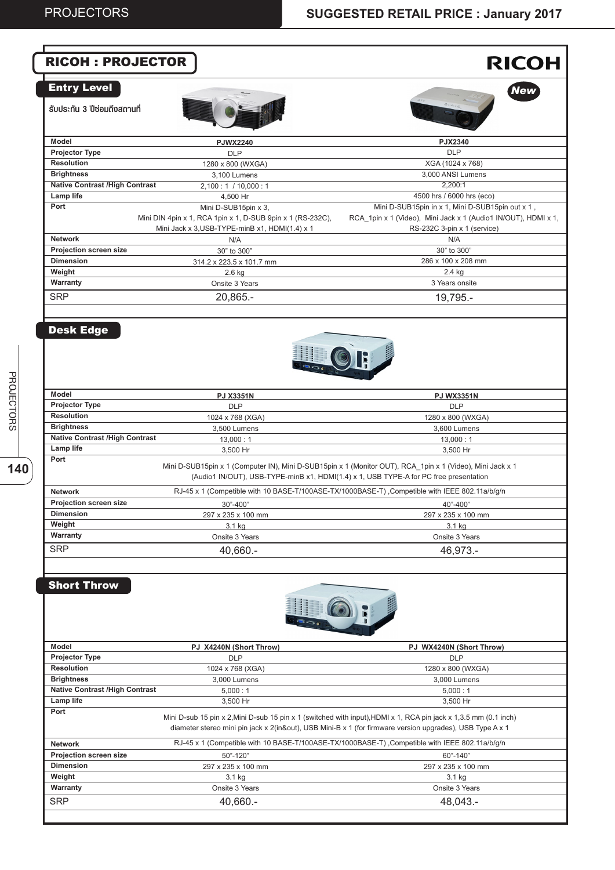|                                                            | <b>RICOH: PROJECTOR</b>                                                            | <b>RICOH</b>                                                                                                                                                                                                                  |
|------------------------------------------------------------|------------------------------------------------------------------------------------|-------------------------------------------------------------------------------------------------------------------------------------------------------------------------------------------------------------------------------|
| <b>Entry Level</b><br>้รับประกัน 3 ปีซ่อมถึงสถานที่        |                                                                                    | <b>New</b>                                                                                                                                                                                                                    |
| Model                                                      | <b>PJWX2240</b>                                                                    | PJX2340                                                                                                                                                                                                                       |
| <b>Projector Type</b>                                      | <b>DLP</b>                                                                         | <b>DLP</b>                                                                                                                                                                                                                    |
| <b>Resolution</b>                                          | 1280 x 800 (WXGA)                                                                  | XGA (1024 x 768)                                                                                                                                                                                                              |
| <b>Brightness</b>                                          | 3,100 Lumens                                                                       | 3,000 ANSI Lumens                                                                                                                                                                                                             |
| <b>Native Contrast /High Contrast</b>                      | 2,100 : 1 / 10,000 : 1                                                             | 2,200:1                                                                                                                                                                                                                       |
| Lamp life<br>Port                                          | 4,500 Hr                                                                           | 4500 hrs / 6000 hrs (eco)                                                                                                                                                                                                     |
|                                                            | Mini D-SUB15pin x 3,<br>Mini DIN 4pin x 1, RCA 1pin x 1, D-SUB 9pin x 1 (RS-232C), | Mini D-SUB15pin in x 1, Mini D-SUB15pin out x 1,<br>RCA_1pin x 1 (Video), Mini Jack x 1 (Audio1 IN/OUT), HDMI x 1,                                                                                                            |
|                                                            | Mini Jack x 3, USB-TYPE-minB x1, HDMI(1.4) x 1                                     | RS-232C 3-pin x 1 (service)                                                                                                                                                                                                   |
| <b>Network</b>                                             | N/A                                                                                | N/A                                                                                                                                                                                                                           |
| Projection screen size                                     | 30" to 300"                                                                        | 30" to 300"                                                                                                                                                                                                                   |
| <b>Dimension</b>                                           | 314.2 x 223.5 x 101.7 mm                                                           | 286 x 100 x 208 mm                                                                                                                                                                                                            |
| Weight                                                     | 2.6 kg                                                                             | 2.4 kg                                                                                                                                                                                                                        |
| Warranty                                                   | Onsite 3 Years                                                                     | 3 Years onsite                                                                                                                                                                                                                |
| <b>SRP</b>                                                 | 20,865.-                                                                           | 19,795.-                                                                                                                                                                                                                      |
|                                                            |                                                                                    |                                                                                                                                                                                                                               |
|                                                            |                                                                                    |                                                                                                                                                                                                                               |
| <b>Model</b>                                               | <b>PJ X3351N</b>                                                                   | <b>PJ WX3351N</b>                                                                                                                                                                                                             |
| <b>Projector Type</b>                                      | <b>DLP</b>                                                                         | <b>DLP</b>                                                                                                                                                                                                                    |
| <b>Resolution</b>                                          | 1024 x 768 (XGA)                                                                   | 1280 x 800 (WXGA)                                                                                                                                                                                                             |
| <b>Brightness</b><br><b>Native Contrast /High Contrast</b> | 3,500 Lumens                                                                       | 3,600 Lumens                                                                                                                                                                                                                  |
| Lamp life                                                  | 13,000:1<br>3,500 Hr                                                               | 13,000:1<br>3,500 Hr                                                                                                                                                                                                          |
| Port                                                       |                                                                                    | Mini D-SUB15pin x 1 (Computer IN), Mini D-SUB15pin x 1 (Monitor OUT), RCA_1pin x 1 (Video), Mini Jack x 1<br>(Audio1 IN/OUT), USB-TYPE-minB x1, HDMI(1.4) x 1, USB TYPE-A for PC free presentation                            |
|                                                            |                                                                                    |                                                                                                                                                                                                                               |
| <b>Network</b>                                             |                                                                                    | RJ-45 x 1 (Competible with 10 BASE-T/100ASE-TX/1000BASE-T) , Competible with IEEE 802.11a/b/g/n                                                                                                                               |
| Projection screen size                                     | 30"-400"                                                                           | 40"-400"                                                                                                                                                                                                                      |
| <b>Dimension</b>                                           | 297 x 235 x 100 mm                                                                 | 297 x 235 x 100 mm                                                                                                                                                                                                            |
| Weight                                                     | 3.1 kg                                                                             | 3.1 kg                                                                                                                                                                                                                        |
| Warranty                                                   | Onsite 3 Years                                                                     | Onsite 3 Years                                                                                                                                                                                                                |
| <b>SRP</b>                                                 | 40,660.-                                                                           | 46,973.-                                                                                                                                                                                                                      |
| <b>Short Throw</b>                                         |                                                                                    |                                                                                                                                                                                                                               |
| Model                                                      | PJ X4240N (Short Throw)                                                            | PJ WX4240N (Short Throw)                                                                                                                                                                                                      |
| <b>Projector Type</b>                                      | <b>DLP</b>                                                                         | <b>DLP</b>                                                                                                                                                                                                                    |
| <b>Resolution</b>                                          | 1024 x 768 (XGA)                                                                   | 1280 x 800 (WXGA)                                                                                                                                                                                                             |
| <b>Brightness</b>                                          | 3,000 Lumens                                                                       | 3,000 Lumens                                                                                                                                                                                                                  |
| <b>Native Contrast /High Contrast</b>                      | 5,000:1                                                                            | 5,000:1                                                                                                                                                                                                                       |
| Lamp life                                                  | 3,500 Hr                                                                           | 3,500 Hr                                                                                                                                                                                                                      |
| Port                                                       |                                                                                    | Mini D-sub 15 pin x 2, Mini D-sub 15 pin x 1 (switched with input), HDMI x 1, RCA pin jack x 1,3.5 mm (0.1 inch)<br>diameter stereo mini pin jack x 2(in&out), USB Mini-B x 1 (for firmware version upgrades), USB Type A x 1 |
| <b>Network</b>                                             |                                                                                    | RJ-45 x 1 (Competible with 10 BASE-T/100ASE-TX/1000BASE-T) , Competible with IEEE 802.11a/b/g/n                                                                                                                               |
| Projection screen size                                     | 50"-120"                                                                           | 60"-140"                                                                                                                                                                                                                      |
| <b>Dimension</b>                                           | 297 x 235 x 100 mm                                                                 | 297 x 235 x 100 mm                                                                                                                                                                                                            |
| Weight                                                     | 3.1 kg                                                                             | 3.1 kg                                                                                                                                                                                                                        |
| Warranty<br><b>SRP</b>                                     | Onsite 3 Years                                                                     | Onsite 3 Years<br>48,043.-                                                                                                                                                                                                    |